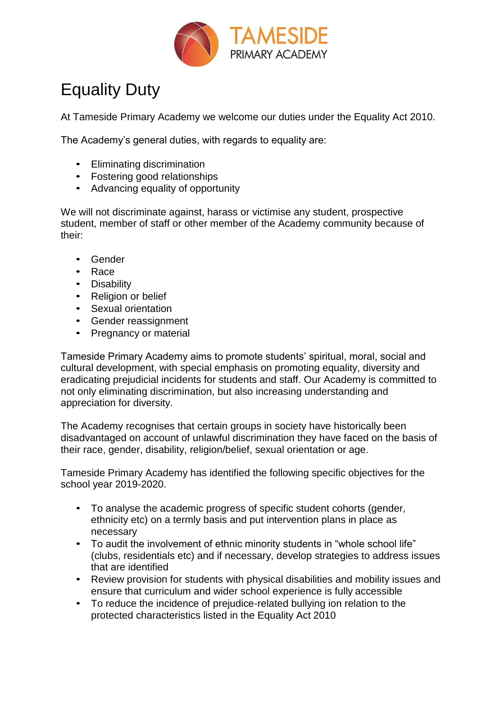

## Equality Duty

At Tameside Primary Academy we welcome our duties under the Equality Act 2010.

The Academy's general duties, with regards to equality are:

- Eliminating discrimination
- Fostering good relationships
- Advancing equality of opportunity

We will not discriminate against, harass or victimise any student, prospective student, member of staff or other member of the Academy community because of their:

- Gender
- Race
- Disability
- Religion or belief
- Sexual orientation
- Gender reassignment
- Pregnancy or material

Tameside Primary Academy aims to promote students' spiritual, moral, social and cultural development, with special emphasis on promoting equality, diversity and eradicating prejudicial incidents for students and staff. Our Academy is committed to not only eliminating discrimination, but also increasing understanding and appreciation for diversity.

The Academy recognises that certain groups in society have historically been disadvantaged on account of unlawful discrimination they have faced on the basis of their race, gender, disability, religion/belief, sexual orientation or age.

Tameside Primary Academy has identified the following specific objectives for the school year 2019-2020.

- To analyse the academic progress of specific student cohorts (gender, ethnicity etc) on a termly basis and put intervention plans in place as necessary
- To audit the involvement of ethnic minority students in "whole school life" (clubs, residentials etc) and if necessary, develop strategies to address issues that are identified
- Review provision for students with physical disabilities and mobility issues and ensure that curriculum and wider school experience is fully accessible
- To reduce the incidence of prejudice-related bullying ion relation to the protected characteristics listed in the Equality Act 2010